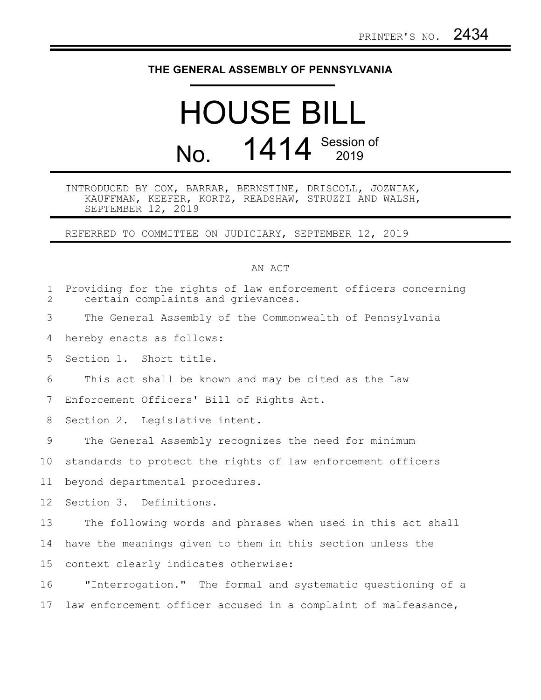## **THE GENERAL ASSEMBLY OF PENNSYLVANIA**

## HOUSE BILL No. 1414 Session of

## INTRODUCED BY COX, BARRAR, BERNSTINE, DRISCOLL, JOZWIAK, KAUFFMAN, KEEFER, KORTZ, READSHAW, STRUZZI AND WALSH, SEPTEMBER 12, 2019

REFERRED TO COMMITTEE ON JUDICIARY, SEPTEMBER 12, 2019

## AN ACT

| $\mathbf{1}$<br>$\overline{2}$ | Providing for the rights of law enforcement officers concerning<br>certain complaints and grievances. |
|--------------------------------|-------------------------------------------------------------------------------------------------------|
| 3                              | The General Assembly of the Commonwealth of Pennsylvania                                              |
| 4                              | hereby enacts as follows:                                                                             |
| 5                              | Section 1. Short title.                                                                               |
| 6                              | This act shall be known and may be cited as the Law                                                   |
| 7                              | Enforcement Officers' Bill of Rights Act.                                                             |
| 8                              | Section 2. Legislative intent.                                                                        |
| 9                              | The General Assembly recognizes the need for minimum                                                  |
| 10                             | standards to protect the rights of law enforcement officers                                           |
| 11                             | beyond departmental procedures.                                                                       |
| 12 <sup>°</sup>                | Section 3. Definitions.                                                                               |
| 13                             | The following words and phrases when used in this act shall                                           |
| 14                             | have the meanings given to them in this section unless the                                            |
| 15                             | context clearly indicates otherwise:                                                                  |
| 16                             | "Interrogation." The formal and systematic questioning of a                                           |
| 17                             | law enforcement officer accused in a complaint of malfeasance,                                        |
|                                |                                                                                                       |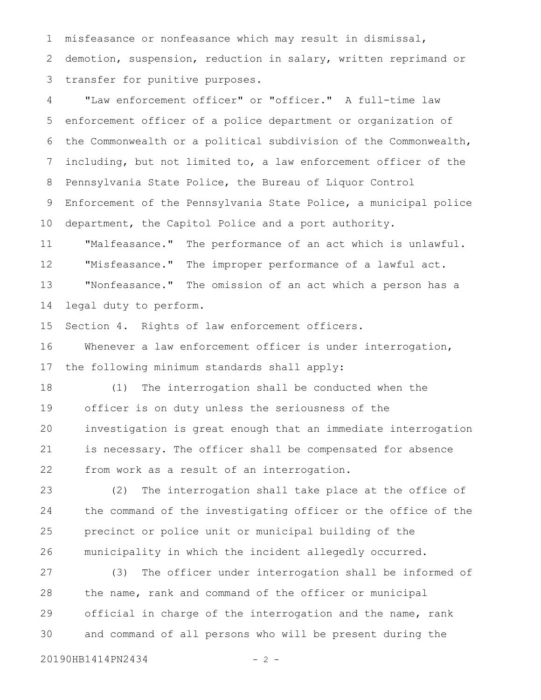misfeasance or nonfeasance which may result in dismissal, demotion, suspension, reduction in salary, written reprimand or transfer for punitive purposes. 1 2 3

"Law enforcement officer" or "officer." A full-time law enforcement officer of a police department or organization of the Commonwealth or a political subdivision of the Commonwealth, including, but not limited to, a law enforcement officer of the Pennsylvania State Police, the Bureau of Liquor Control Enforcement of the Pennsylvania State Police, a municipal police department, the Capitol Police and a port authority. "Malfeasance." The performance of an act which is unlawful. "Misfeasance." The improper performance of a lawful act. "Nonfeasance." The omission of an act which a person has a 4 5 6 7 8 9 10 11 12 13

legal duty to perform. 14

Section 4. Rights of law enforcement officers. 15

Whenever a law enforcement officer is under interrogation, the following minimum standards shall apply: 16 17

(1) The interrogation shall be conducted when the officer is on duty unless the seriousness of the investigation is great enough that an immediate interrogation is necessary. The officer shall be compensated for absence from work as a result of an interrogation. 18 19 20 21 22

(2) The interrogation shall take place at the office of the command of the investigating officer or the office of the precinct or police unit or municipal building of the municipality in which the incident allegedly occurred. 23 24 25 26

(3) The officer under interrogation shall be informed of the name, rank and command of the officer or municipal official in charge of the interrogation and the name, rank and command of all persons who will be present during the 27 28 29 30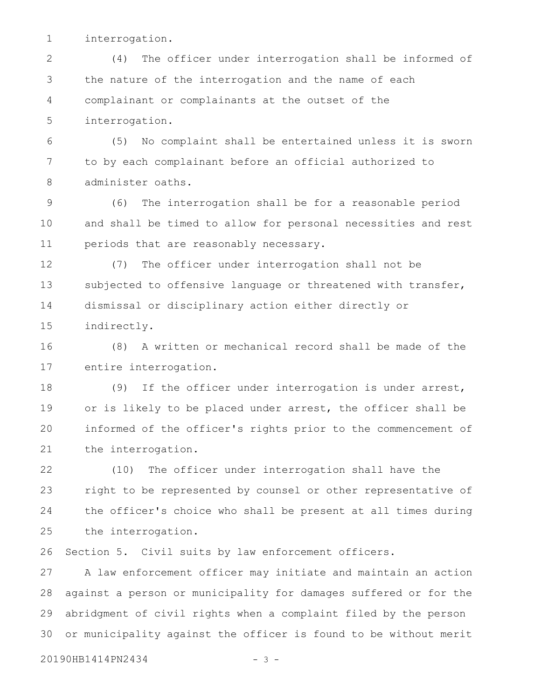interrogation. 1

(4) The officer under interrogation shall be informed of the nature of the interrogation and the name of each complainant or complainants at the outset of the interrogation. 2 3 4 5

(5) No complaint shall be entertained unless it is sworn to by each complainant before an official authorized to administer oaths. 6 7 8

(6) The interrogation shall be for a reasonable period and shall be timed to allow for personal necessities and rest periods that are reasonably necessary. 9 10 11

(7) The officer under interrogation shall not be subjected to offensive language or threatened with transfer, dismissal or disciplinary action either directly or indirectly. 12 13 14 15

(8) A written or mechanical record shall be made of the entire interrogation. 16 17

(9) If the officer under interrogation is under arrest, or is likely to be placed under arrest, the officer shall be informed of the officer's rights prior to the commencement of the interrogation. 18 19 20 21

(10) The officer under interrogation shall have the right to be represented by counsel or other representative of the officer's choice who shall be present at all times during the interrogation. 22 23 24 25

Section 5. Civil suits by law enforcement officers. 26

A law enforcement officer may initiate and maintain an action against a person or municipality for damages suffered or for the abridgment of civil rights when a complaint filed by the person or municipality against the officer is found to be without merit 27 28 29 30

20190HB1414PN2434 - 3 -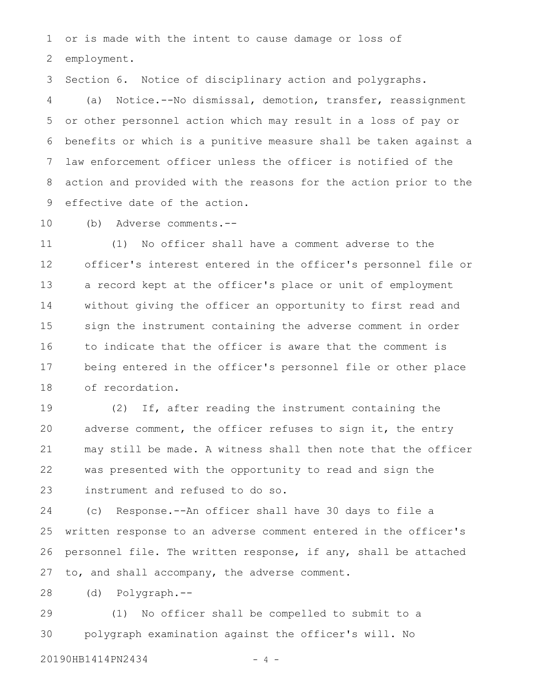or is made with the intent to cause damage or loss of employment. 1 2

Section 6. Notice of disciplinary action and polygraphs. 3

(a) Notice.--No dismissal, demotion, transfer, reassignment or other personnel action which may result in a loss of pay or benefits or which is a punitive measure shall be taken against a law enforcement officer unless the officer is notified of the action and provided with the reasons for the action prior to the effective date of the action. 4 5 6 7 8 9

(b) Adverse comments.-- 10

(1) No officer shall have a comment adverse to the officer's interest entered in the officer's personnel file or a record kept at the officer's place or unit of employment without giving the officer an opportunity to first read and sign the instrument containing the adverse comment in order to indicate that the officer is aware that the comment is being entered in the officer's personnel file or other place of recordation. 11 12 13 14 15 16 17 18

(2) If, after reading the instrument containing the adverse comment, the officer refuses to sign it, the entry may still be made. A witness shall then note that the officer was presented with the opportunity to read and sign the instrument and refused to do so. 19 20 21 22 23

(c) Response.--An officer shall have 30 days to file a written response to an adverse comment entered in the officer's personnel file. The written response, if any, shall be attached to, and shall accompany, the adverse comment. 24 25 26 27

(d) Polygraph.-- 28

(1) No officer shall be compelled to submit to a polygraph examination against the officer's will. No 29 30

20190HB1414PN2434 - 4 -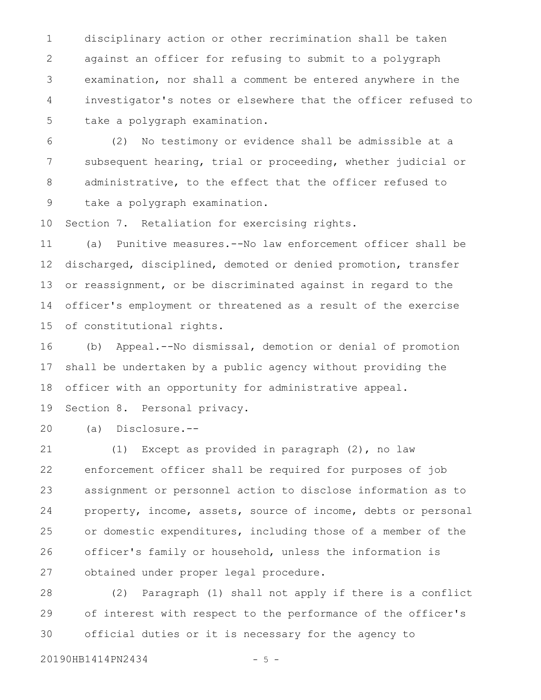disciplinary action or other recrimination shall be taken against an officer for refusing to submit to a polygraph examination, nor shall a comment be entered anywhere in the investigator's notes or elsewhere that the officer refused to take a polygraph examination. 1 2 3 4 5

(2) No testimony or evidence shall be admissible at a subsequent hearing, trial or proceeding, whether judicial or administrative, to the effect that the officer refused to take a polygraph examination. 6 7 8 9

Section 7. Retaliation for exercising rights. 10

(a) Punitive measures.--No law enforcement officer shall be discharged, disciplined, demoted or denied promotion, transfer or reassignment, or be discriminated against in regard to the officer's employment or threatened as a result of the exercise of constitutional rights. 11 12 13 14 15

(b) Appeal.--No dismissal, demotion or denial of promotion shall be undertaken by a public agency without providing the officer with an opportunity for administrative appeal. 16 17 18

Section 8. Personal privacy. 19

(a) Disclosure.-- 20

(1) Except as provided in paragraph (2), no law enforcement officer shall be required for purposes of job assignment or personnel action to disclose information as to property, income, assets, source of income, debts or personal or domestic expenditures, including those of a member of the officer's family or household, unless the information is obtained under proper legal procedure. 21 22 23 24 25 26 27

(2) Paragraph (1) shall not apply if there is a conflict of interest with respect to the performance of the officer's official duties or it is necessary for the agency to 28 29 30